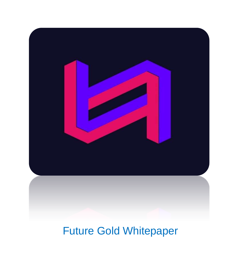

### Future Gold Whitepaper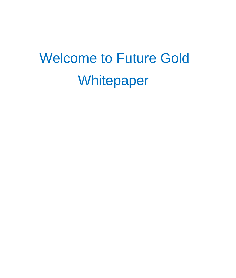## Welcome to Future Gold Whitepaper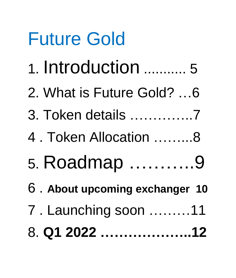# Future Gold

- 1. Introduction ........... 5
- 2. What is Future Gold? …6
- 3. Token details …………..7
- 4 . Token Allocation ……...8
- 5. Roadmap ………..9
- 6 . **About upcoming exchanger 10**
- 7 . Launching soon ………11
- 8. **Q1 2022 ………………..12**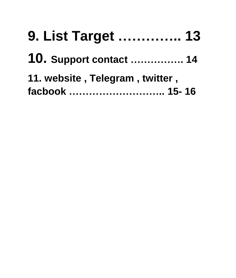| 9. List Target  13              |  |
|---------------------------------|--|
| <b>10. Support contact  14</b>  |  |
| 11. website, Telegram, twitter, |  |
| facbook  15-16                  |  |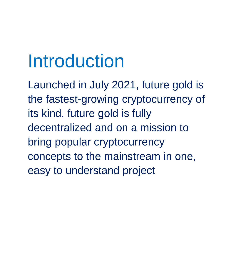## Introduction

Launched in July 2021, future gold is the fastest-growing cryptocurrency of its kind. future gold is fully decentralized and on a mission to bring popular cryptocurrency concepts to the mainstream in one, easy to understand project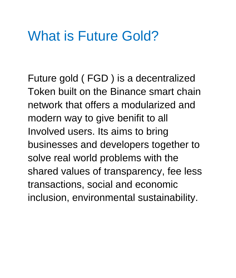### What is Future Gold?

Future gold ( FGD ) is a decentralized Token built on the Binance smart chain network that offers a modularized and modern way to give benifit to all Involved users. Its aims to bring businesses and developers together to solve real world problems with the shared values of transparency, fee less transactions, social and economic inclusion, environmental sustainability.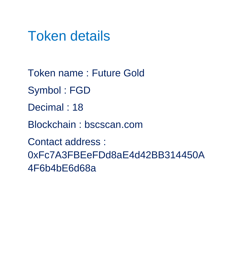### Token details

Token name : Future Gold Symbol : FGD Decimal : 18 Blockchain : bscscan.com Contact address : 0xFc7A3FBEeFDd8aE4d42BB314450A 4F6b4bE6d68a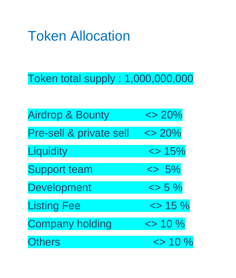### Token Allocation

Token total supply : 1,000,000,000

| <b>Airdrop &amp; Bounty</b> | $\langle$ > 20%       |
|-----------------------------|-----------------------|
| Pre-sell & private sell     | $\langle$ > 20%       |
| Liquidity                   | $\Leftrightarrow$ 15% |
| <b>Support team</b>         | $\leq$ 5%             |
| <b>Development</b>          | $\lessdot$ 5 %        |
| <b>Listing Fee</b>          | $\approx$ 15 %        |
| <b>Company holding</b>      | $\approx$ 10 %        |
| <b>Others</b>               | $\langle$ > 10 %      |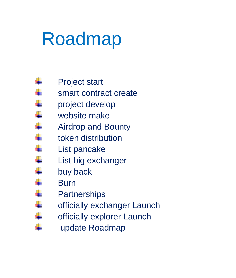## Roadmap

- Project start
- a<mark>g</mark>ar smart contract create
- a ba project develop
- **Service** website make
- and the Airdrop and Bounty
- **Service** token distribution
- s. List pancake
- **September** List big exchanger
- ÷ buy back
- ÷. Burn

÷

- ÷. **Partnerships**
- **.** officially exchanger Launch
- a ba officially explorer Launch
	- update Roadmap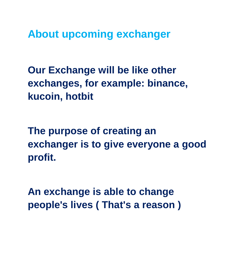**About upcoming exchanger**

**Our Exchange will be like other exchanges, for example: binance, kucoin, hotbit**

**The purpose of creating an exchanger is to give everyone a good profit.**

**An exchange is able to change people's lives ( That's a reason )**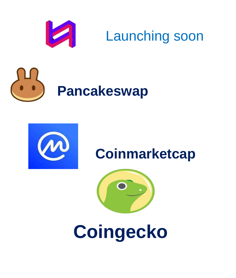

### Launching soon





### **Coinmarketcap**



**Coingecko**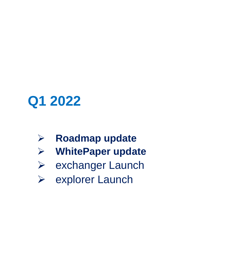### **Q1 2022**

- **Roadmap update**
- **WhitePaper update**
- exchanger Launch
- **►** explorer Launch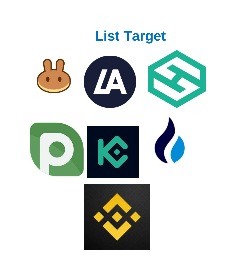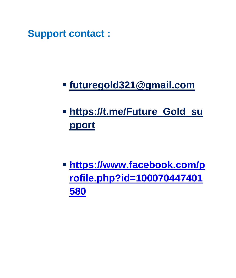**Support contact :** 

#### **[futuregold321@gmail.com](mailto:futuregold321@gmail.com)**

### **[https://t.me/Future\\_Gold\\_su](https://t.me/Future_Gold_support) [pport](https://t.me/Future_Gold_support)**

 **[https://www.facebook.com/p](https://www.facebook.com/profile.php?id=100070447401580) [rofile.php?id=100070447401](https://www.facebook.com/profile.php?id=100070447401580) [580](https://www.facebook.com/profile.php?id=100070447401580)**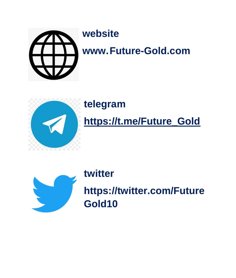

#### **website**

**www.Future-Gold.com**



#### **telegram**

#### **[https://t.me/Future\\_Gold](https://t.me/Future_Gold)**



#### **twitter**

**https://twitter.com/Future Gold10**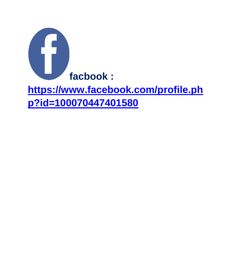